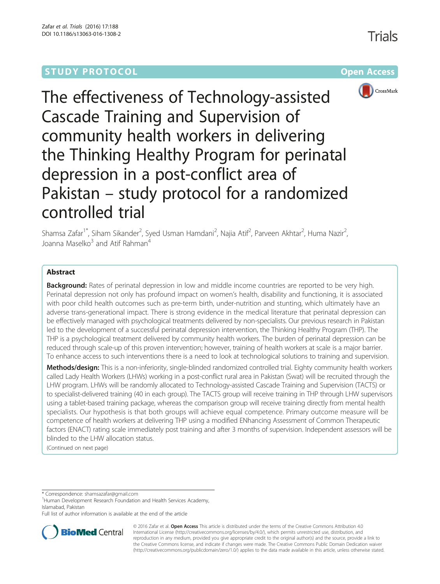# **STUDY PROTOCOL CONSUMING THE CONSUMING OPEN ACCESS**

Trials



The effectiveness of Technology-assisted Cascade Training and Supervision of community health workers in delivering the Thinking Healthy Program for perinatal depression in a post-conflict area of Pakistan – study protocol for a randomized controlled trial

Shamsa Zafar<sup>1\*</sup>, Siham Sikander<sup>2</sup>, Syed Usman Hamdani<sup>2</sup>, Najia Atif<sup>2</sup>, Parveen Akhtar<sup>2</sup>, Huma Nazir<sup>2</sup> .<br>, Joanna Maselko<sup>3</sup> and Atif Rahman<sup>4</sup>

# Abstract

**Background:** Rates of perinatal depression in low and middle income countries are reported to be very high. Perinatal depression not only has profound impact on women's health, disability and functioning, it is associated with poor child health outcomes such as pre-term birth, under-nutrition and stunting, which ultimately have an adverse trans-generational impact. There is strong evidence in the medical literature that perinatal depression can be effectively managed with psychological treatments delivered by non-specialists. Our previous research in Pakistan led to the development of a successful perinatal depression intervention, the Thinking Healthy Program (THP). The THP is a psychological treatment delivered by community health workers. The burden of perinatal depression can be reduced through scale-up of this proven intervention; however, training of health workers at scale is a major barrier. To enhance access to such interventions there is a need to look at technological solutions to training and supervision.

Methods/design: This is a non-inferiority, single-blinded randomized controlled trial. Eighty community health workers called Lady Health Workers (LHWs) working in a post-conflict rural area in Pakistan (Swat) will be recruited through the LHW program. LHWs will be randomly allocated to Technology-assisted Cascade Training and Supervision (TACTS) or to specialist-delivered training (40 in each group). The TACTS group will receive training in THP through LHW supervisors using a tablet-based training package, whereas the comparison group will receive training directly from mental health specialists. Our hypothesis is that both groups will achieve equal competence. Primary outcome measure will be competence of health workers at delivering THP using a modified ENhancing Assessment of Common Therapeutic factors (ENACT) rating scale immediately post training and after 3 months of supervision. Independent assessors will be blinded to the LHW allocation status.

(Continued on next page)

\* Correspondence: [shamsazafar@gmail.com](mailto:shamsazafar@gmail.com) <sup>1</sup>

<sup>1</sup> Human Development Research Foundation and Health Services Academy, Islamabad, Pakistan

Full list of author information is available at the end of the article



© 2016 Zafar et al. Open Access This article is distributed under the terms of the Creative Commons Attribution 4.0 International License [\(http://creativecommons.org/licenses/by/4.0/](http://creativecommons.org/licenses/by/4.0/)), which permits unrestricted use, distribution, and reproduction in any medium, provided you give appropriate credit to the original author(s) and the source, provide a link to the Creative Commons license, and indicate if changes were made. The Creative Commons Public Domain Dedication waiver [\(http://creativecommons.org/publicdomain/zero/1.0/](http://creativecommons.org/publicdomain/zero/1.0/)) applies to the data made available in this article, unless otherwise stated.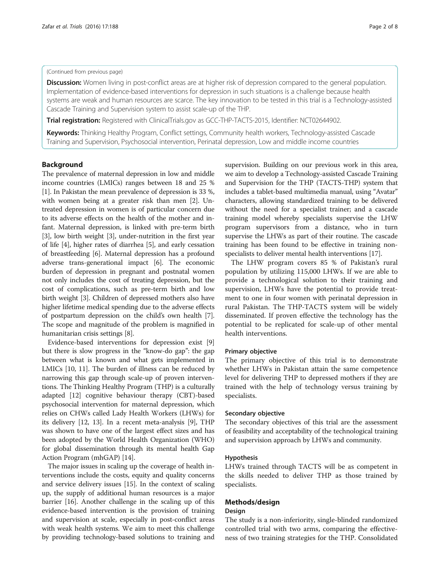#### (Continued from previous page)

Discussion: Women living in post-conflict areas are at higher risk of depression compared to the general population. Implementation of evidence-based interventions for depression in such situations is a challenge because health systems are weak and human resources are scarce. The key innovation to be tested in this trial is a Technology-assisted Cascade Training and Supervision system to assist scale-up of the THP.

Trial registration: Registered with ClinicalTrials.gov as GCC-THP-TACTS-2015, Identifier: [NCT02644902](https://clinicaltrials.gov/ct2/show/NCT02644902?term=TACTS&rank=4).

Keywords: Thinking Healthy Program, Conflict settings, Community health workers, Technology-assisted Cascade Training and Supervision, Psychosocial intervention, Perinatal depression, Low and middle income countries

#### Background

The prevalence of maternal depression in low and middle income countries (LMICs) ranges between 18 and 25 % [[1\]](#page-6-0). In Pakistan the mean prevalence of depression is 33 %, with women being at a greater risk than men [\[2\]](#page-6-0). Untreated depression in women is of particular concern due to its adverse effects on the health of the mother and infant. Maternal depression, is linked with pre-term birth [[3\]](#page-6-0), low birth weight [\[3](#page-6-0)], under-nutrition in the first year of life [\[4](#page-6-0)], higher rates of diarrhea [[5\]](#page-6-0), and early cessation of breastfeeding [\[6](#page-6-0)]. Maternal depression has a profound adverse trans-generational impact [\[6](#page-6-0)]. The economic burden of depression in pregnant and postnatal women not only includes the cost of treating depression, but the cost of complications, such as pre-term birth and low birth weight [\[3](#page-6-0)]. Children of depressed mothers also have higher lifetime medical spending due to the adverse effects of postpartum depression on the child's own health [[7](#page-6-0)]. The scope and magnitude of the problem is magnified in humanitarian crisis settings [[8](#page-6-0)].

Evidence-based interventions for depression exist [[9](#page-6-0)] but there is slow progress in the "know-do gap": the gap between what is known and what gets implemented in LMICs [\[10, 11](#page-7-0)]. The burden of illness can be reduced by narrowing this gap through scale-up of proven interventions. The Thinking Healthy Program (THP) is a culturally adapted [\[12\]](#page-7-0) cognitive behaviour therapy (CBT)-based psychosocial intervention for maternal depression, which relies on CHWs called Lady Health Workers (LHWs) for its delivery [\[12, 13\]](#page-7-0). In a recent meta-analysis [\[9](#page-6-0)], THP was shown to have one of the largest effect sizes and has been adopted by the World Health Organization (WHO) for global dissemination through its mental health Gap Action Program (mhGAP) [\[14\]](#page-7-0).

The major issues in scaling up the coverage of health interventions include the costs, equity and quality concerns and service delivery issues [[15\]](#page-7-0). In the context of scaling up, the supply of additional human resources is a major barrier [[16](#page-7-0)]. Another challenge in the scaling up of this evidence-based intervention is the provision of training and supervision at scale, especially in post-conflict areas with weak health systems. We aim to meet this challenge by providing technology-based solutions to training and supervision. Building on our previous work in this area, we aim to develop a Technology-assisted Cascade Training and Supervision for the THP (TACTS-THP) system that includes a tablet-based multimedia manual, using "Avatar" characters, allowing standardized training to be delivered without the need for a specialist trainer; and a cascade training model whereby specialists supervise the LHW program supervisors from a distance, who in turn supervise the LHWs as part of their routine. The cascade training has been found to be effective in training nonspecialists to deliver mental health interventions [[17](#page-7-0)].

The LHW program covers 85 % of Pakistan's rural population by utilizing 115,000 LHWs. If we are able to provide a technological solution to their training and supervision, LHWs have the potential to provide treatment to one in four women with perinatal depression in rural Pakistan. The THP-TACTS system will be widely disseminated. If proven effective the technology has the potential to be replicated for scale-up of other mental health interventions.

#### Primary objective

The primary objective of this trial is to demonstrate whether LHWs in Pakistan attain the same competence level for delivering THP to depressed mothers if they are trained with the help of technology versus training by specialists.

#### Secondary objective

The secondary objectives of this trial are the assessment of feasibility and acceptability of the technological training and supervision approach by LHWs and community.

#### Hypothesis

LHWs trained through TACTS will be as competent in the skills needed to deliver THP as those trained by specialists.

# Methods/design

#### Design

The study is a non-inferiority, single-blinded randomized controlled trial with two arms, comparing the effectiveness of two training strategies for the THP. Consolidated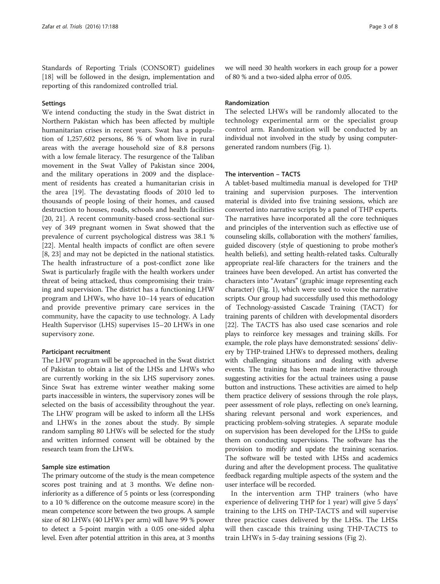Standards of Reporting Trials (CONSORT) guidelines [[18\]](#page-7-0) will be followed in the design, implementation and reporting of this randomized controlled trial.

### Settings

We intend conducting the study in the Swat district in Northern Pakistan which has been affected by multiple humanitarian crises in recent years. Swat has a population of 1,257,602 persons, 86 % of whom live in rural areas with the average household size of 8.8 persons with a low female literacy. The resurgence of the Taliban movement in the Swat Valley of Pakistan since 2004, and the military operations in 2009 and the displacement of residents has created a humanitarian crisis in the area [[19\]](#page-7-0). The devastating floods of 2010 led to thousands of people losing of their homes, and caused destruction to houses, roads, schools and health facilities [[20, 21](#page-7-0)]. A recent community-based cross-sectional survey of 349 pregnant women in Swat showed that the prevalence of current psychological distress was 38.1 % [[22\]](#page-7-0). Mental health impacts of conflict are often severe [[8,](#page-6-0) [23\]](#page-7-0) and may not be depicted in the national statistics. The health infrastructure of a post-conflict zone like Swat is particularly fragile with the health workers under threat of being attacked, thus compromising their training and supervision. The district has a functioning LHW program and LHWs, who have 10–14 years of education and provide preventive primary care services in the community, have the capacity to use technology. A Lady Health Supervisor (LHS) supervises 15–20 LHWs in one supervisory zone.

#### Participant recruitment

The LHW program will be approached in the Swat district of Pakistan to obtain a list of the LHSs and LHWs who are currently working in the six LHS supervisory zones. Since Swat has extreme winter weather making some parts inaccessible in winters, the supervisory zones will be selected on the basis of accessibility throughout the year. The LHW program will be asked to inform all the LHSs and LHWs in the zones about the study. By simple random sampling 80 LHWs will be selected for the study and written informed consent will be obtained by the research team from the LHWs.

#### Sample size estimation

The primary outcome of the study is the mean competence scores post training and at 3 months. We define noninferiority as a difference of 5 points or less (corresponding to a 10 % difference on the outcome measure score) in the mean competence score between the two groups. A sample size of 80 LHWs (40 LHWs per arm) will have 99 % power to detect a 5-point margin with a 0.05 one-sided alpha level. Even after potential attrition in this area, at 3 months we will need 30 health workers in each group for a power of 80 % and a two-sided alpha error of 0.05.

#### Randomization

The selected LHWs will be randomly allocated to the technology experimental arm or the specialist group control arm. Randomization will be conducted by an individual not involved in the study by using computergenerated random numbers (Fig. [1](#page-3-0)).

#### The intervention – TACTS

A tablet-based multimedia manual is developed for THP training and supervision purposes. The intervention material is divided into five training sessions, which are converted into narrative scripts by a panel of THP experts. The narratives have incorporated all the core techniques and principles of the intervention such as effective use of counseling skills, collaboration with the mothers' families, guided discovery (style of questioning to probe mother's health beliefs), and setting health-related tasks. Culturally appropriate real-life characters for the trainers and the trainees have been developed. An artist has converted the characters into "Avatars" (graphic image representing each character) (Fig. [1](#page-3-0)), which were used to voice the narrative scripts. Our group had successfully used this methodology of Technology-assisted Cascade Training (TACT) for training parents of children with developmental disorders [[22](#page-7-0)]. The TACTS has also used case scenarios and role plays to reinforce key messages and training skills. For example, the role plays have demonstrated: sessions' delivery by THP-trained LHWs to depressed mothers, dealing with challenging situations and dealing with adverse events. The training has been made interactive through suggesting activities for the actual trainees using a pause button and instructions. These activities are aimed to help them practice delivery of sessions through the role plays, peer assessment of role plays, reflecting on one's learning, sharing relevant personal and work experiences, and practicing problem-solving strategies. A separate module on supervision has been developed for the LHSs to guide them on conducting supervisions. The software has the provision to modify and update the training scenarios. The software will be tested with LHSs and academics during and after the development process. The qualitative feedback regarding multiple aspects of the system and the user interface will be recorded.

In the intervention arm THP trainers (who have experience of delivering THP for 1 year) will give 5 days' training to the LHS on THP-TACTS and will supervise three practice cases delivered by the LHSs. The LHSs will then cascade this training using THP-TACTS to train LHWs in 5-day training sessions (Fig [2](#page-4-0)).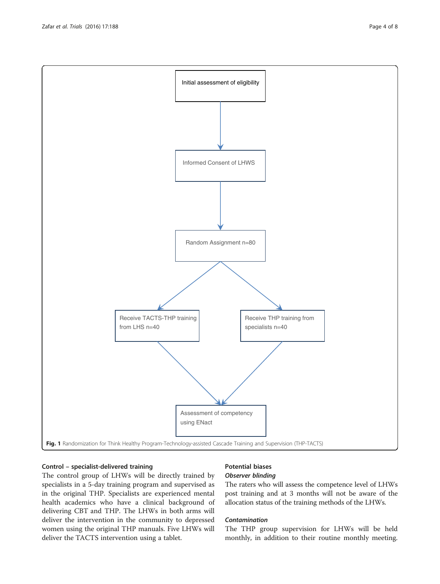<span id="page-3-0"></span>

#### Control – specialist-delivered training

The control group of LHWs will be directly trained by specialists in a 5-day training program and supervised as in the original THP. Specialists are experienced mental health academics who have a clinical background of delivering CBT and THP. The LHWs in both arms will deliver the intervention in the community to depressed women using the original THP manuals. Five LHWs will deliver the TACTS intervention using a tablet.

# Potential biases

## Observer blinding

The raters who will assess the competence level of LHWs post training and at 3 months will not be aware of the allocation status of the training methods of the LHWs.

### Contamination

The THP group supervision for LHWs will be held monthly, in addition to their routine monthly meeting.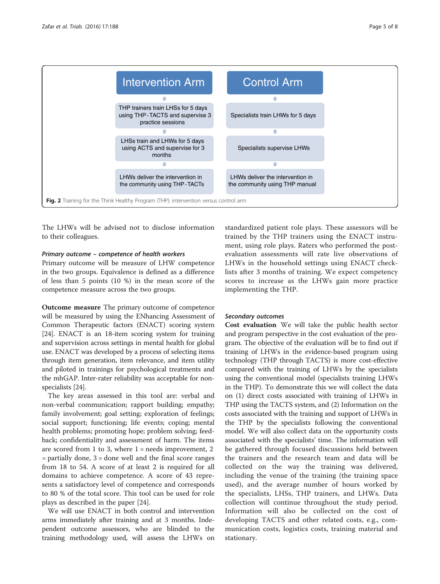<span id="page-4-0"></span>

The LHWs will be advised not to disclose information to their colleagues.

#### Primary outcome – competence of health workers

Primary outcome will be measure of LHW competence in the two groups. Equivalence is defined as a difference of less than 5 points (10 %) in the mean score of the competence measure across the two groups.

Outcome measure The primary outcome of competence will be measured by using the ENhancing Assessment of Common Therapeutic factors (ENACT) scoring system [[24](#page-7-0)]. ENACT is an 18-item scoring system for training and supervision across settings in mental health for global use. ENACT was developed by a process of selecting items through item generation, item relevance, and item utility and piloted in trainings for psychological treatments and the mhGAP. Inter-rater reliability was acceptable for nonspecialists [\[24\]](#page-7-0).

The key areas assessed in this tool are: verbal and non-verbal communication; rapport building; empathy; family involvement; goal setting; exploration of feelings; social support; functioning; life events; coping; mental health problems; promoting hope; problem solving; feedback; confidentiality and assessment of harm. The items are scored from 1 to 3, where  $1 =$  needs improvement, 2  $=$  partially done,  $3 =$  done well and the final score ranges from 18 to 54. A score of at least 2 is required for all domains to achieve competence. A score of 43 represents a satisfactory level of competence and corresponds to 80 % of the total score. This tool can be used for role plays as described in the paper [[24](#page-7-0)].

We will use ENACT in both control and intervention arms immediately after training and at 3 months. Independent outcome assessors, who are blinded to the training methodology used, will assess the LHWs on

standardized patient role plays. These assessors will be trained by the THP trainers using the ENACT instrument, using role plays. Raters who performed the postevaluation assessments will rate live observations of LHWs in the household settings using ENACT checklists after 3 months of training. We expect competency scores to increase as the LHWs gain more practice implementing the THP.

#### Secondary outcomes

Cost evaluation We will take the public health sector and program perspective in the cost evaluation of the program. The objective of the evaluation will be to find out if training of LHWs in the evidence-based program using technology (THP through TACTS) is more cost-effective compared with the training of LHWs by the specialists using the conventional model (specialists training LHWs in the THP). To demonstrate this we will collect the data on (1) direct costs associated with training of LHWs in THP using the TACTS system, and (2) Information on the costs associated with the training and support of LHWs in the THP by the specialists following the conventional model. We will also collect data on the opportunity costs associated with the specialists' time. The information will be gathered through focused discussions held between the trainers and the research team and data will be collected on the way the training was delivered, including the venue of the training (the training space used), and the average number of hours worked by the specialists, LHSs, THP trainers, and LHWs. Data collection will continue throughout the study period. Information will also be collected on the cost of developing TACTS and other related costs, e.g., communication costs, logistics costs, training material and stationary.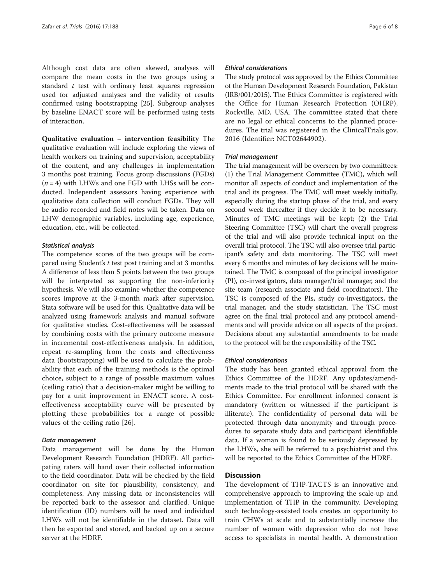Although cost data are often skewed, analyses will compare the mean costs in the two groups using a standard  $t$  test with ordinary least squares regression used for adjusted analyses and the validity of results confirmed using bootstrapping [[25\]](#page-7-0). Subgroup analyses by baseline ENACT score will be performed using tests of interaction.

Qualitative evaluation – intervention feasibility The qualitative evaluation will include exploring the views of health workers on training and supervision, acceptability of the content, and any challenges in implementation 3 months post training. Focus group discussions (FGDs)  $(n = 4)$  with LHWs and one FGD with LHSs will be conducted. Independent assessors having experience with qualitative data collection will conduct FGDs. They will be audio recorded and field notes will be taken. Data on LHW demographic variables, including age, experience, education, etc., will be collected.

#### Statistical analysis

The competence scores of the two groups will be compared using Student's t test post training and at 3 months. A difference of less than 5 points between the two groups will be interpreted as supporting the non-inferiority hypothesis. We will also examine whether the competence scores improve at the 3-month mark after supervision. Stata software will be used for this. Qualitative data will be analyzed using framework analysis and manual software for qualitative studies. Cost-effectiveness will be assessed by combining costs with the primary outcome measure in incremental cost-effectiveness analysis. In addition, repeat re-sampling from the costs and effectiveness data (bootstrapping) will be used to calculate the probability that each of the training methods is the optimal choice, subject to a range of possible maximum values (ceiling ratio) that a decision-maker might be willing to pay for a unit improvement in ENACT score. A costeffectiveness acceptability curve will be presented by plotting these probabilities for a range of possible values of the ceiling ratio [\[26](#page-7-0)].

#### Data management

Data management will be done by the Human Development Research Foundation (HDRF). All participating raters will hand over their collected information to the field coordinator. Data will be checked by the field coordinator on site for plausibility, consistency, and completeness. Any missing data or inconsistencies will be reported back to the assessor and clarified. Unique identification (ID) numbers will be used and individual LHWs will not be identifiable in the dataset. Data will then be exported and stored, and backed up on a secure server at the HDRF.

#### Ethical considerations

The study protocol was approved by the Ethics Committee of the Human Development Research Foundation, Pakistan (IRB/001/2015). The Ethics Committee is registered with the Office for Human Research Protection (OHRP), Rockville, MD, USA. The committee stated that there are no legal or ethical concerns to the planned procedures. The trial was registered in the ClinicalTrials.gov, 2016 (Identifier: NCT02644902).

#### Trial management

The trial management will be overseen by two committees: (1) the Trial Management Committee (TMC), which will monitor all aspects of conduct and implementation of the trial and its progress. The TMC will meet weekly initially, especially during the startup phase of the trial, and every second week thereafter if they decide it to be necessary. Minutes of TMC meetings will be kept; (2) the Trial Steering Committee (TSC) will chart the overall progress of the trial and will also provide technical input on the overall trial protocol. The TSC will also oversee trial participant's safety and data monitoring. The TSC will meet every 6 months and minutes of key decisions will be maintained. The TMC is composed of the principal investigator (PI), co-investigators, data manager/trial manager, and the site team (research associate and field coordinators). The TSC is composed of the PIs, study co-investigators, the trial manager, and the study statistician. The TSC must agree on the final trial protocol and any protocol amendments and will provide advice on all aspects of the project. Decisions about any substantial amendments to be made to the protocol will be the responsibility of the TSC.

#### Ethical considerations

The study has been granted ethical approval from the Ethics Committee of the HDRF. Any updates/amendments made to the trial protocol will be shared with the Ethics Committee. For enrollment informed consent is mandatory (written or witnessed if the participant is illiterate). The confidentiality of personal data will be protected through data anonymity and through procedures to separate study data and participant identifiable data. If a woman is found to be seriously depressed by the LHWs, she will be referred to a psychiatrist and this will be reported to the Ethics Committee of the HDRF.

## **Discussion**

The development of THP-TACTS is an innovative and comprehensive approach to improving the scale-up and implementation of THP in the community. Developing such technology-assisted tools creates an opportunity to train CHWs at scale and to substantially increase the number of women with depression who do not have access to specialists in mental health. A demonstration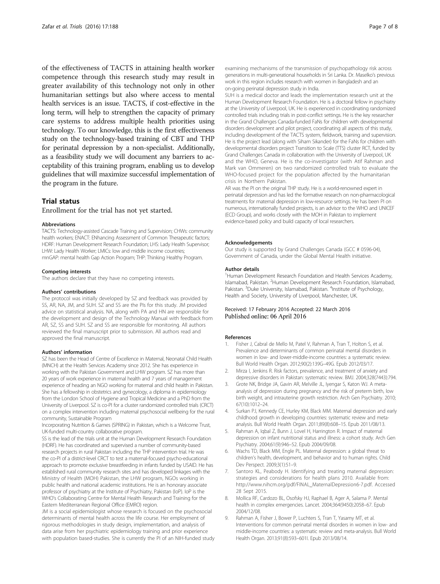<span id="page-6-0"></span>of the effectiveness of TACTS in attaining health worker competence through this research study may result in greater availability of this technology not only in other humanitarian settings but also where access to mental health services is an issue. TACTS, if cost-effective in the long term, will help to strengthen the capacity of primary care systems to address multiple health priorities using technology. To our knowledge, this is the first effectiveness study on the technology-based training of CBT and THP for perinatal depression by a non-specialist. Additionally, as a feasibility study we will document any barriers to acceptability of this training program, enabling us to develop guidelines that will maximize successful implementation of the program in the future.

#### Trial status

Enrollment for the trial has not yet started.

#### Abbreviations

TACTS: Technology-assisted Cascade Training and Supervision; CHWs: community health workers; ENACT: ENhancing Assessment of Common Therapeutic factors; HDRF: Human Development Research Foundation; LHS: Lady Health Supervisor; LHW: Lady Health Worker; LMICs: low and middle income countries; mnGAP: mental health Gap Action Program; THP: Thinking Healthy Program.

#### Competing interests

The authors declare that they have no competing interests.

#### Authors' contributions

The protocol was initially developed by SZ and feedback was provided by SS, AR, NA, JM, and SUH. SZ and SS are the PIs for this study. JM provided advice on statistical analysis. NA, along with PA and HN are responsible for the development and design of the Technology Manual with feedback from AR, SZ, SS and SUH. SZ and SS are responsible for monitoring. All authors reviewed the final manuscript prior to submission. All authors read and approved the final manuscript.

#### Authors' information

SZ has been the Head of Centre of Excellence in Maternal, Neonatal Child Health (MNCH) at the Health Services Academy since 2012. She has experience in working with the Pakistan Government and LHW program. SZ has more than 20 years of work experience in maternal health and 7 years of management experience of heading an NGO working for maternal and child health in Pakistan. She has a fellowship in obstetrics and gynecology, a diploma in epidemiology from the London School of Hygiene and Tropical Medicine and a PhD from the University of Liverpool. SZ is co-PI for a cluster randomized controlled trials (CRCT) on a complex intervention including maternal psychosocial wellbeing for the rural community, Sustainable Program

Incorporating Nutrition & Games (SPRING) in Pakistan, which is a Welcome Trust, UK-funded multi-country collaborative program.

SS is the lead of the trials unit at the Human Development Research Foundation (HDRF). He has coordinated and supervised a number of community-based research projects in rural Pakistan including the THP intervention trial. He was the co-PI of a district-level CRCT to test a maternal-focused psycho-educational approach to promote exclusive breastfeeding in infants funded by USAID. He has established rural community research sites and has developed linkages with the Ministry of Health (MOH) Pakistan, the LHW program, NGOs working in public health and national academic institutions. He is an honorary associate professor of psychiatry at the Institute of Psychiatry, Pakistan (IoP). IoP is the WHO's Collaborating Centre for Mental Health Research and Training for the Eastern Mediterranean Regional Office (EMRO) region.

JM is a social epidemiologist whose research is focused on the psychosocial determinants of mental health across the life course. Her employment of rigorous methodologies in study design, implementation, and analysis of data arise from her psychiatric epidemiology training and prior experience with population based-studies. She is currently the PI of an NIH-funded study

SUH is a medical doctor and leads the implementation research unit at the Human Development Research Foundation. He is a doctoral fellow in psychiatry at the University of Liverpool, UK. He is experienced in coordinating randomized controlled trials including trials in post-conflict settings. He is the key researcher in the Grand Challenges Canada-funded FaNs for children with developmental disorders development and pilot project, coordinating all aspects of this study, including development of the TACTS system, fieldwork, training and supervision. He is the project lead (along with Siham Sikander) for the FaNs for children with developmental disorders project Transition to Scale (TTS) cluster RCT, funded by Grand Challenges Canada in collaboration with the University of Liverpool, UK and the WHO, Geneva. He is the co-investigator (with Atif Rahman and Mark van Ommeren) on two randomized controlled trials to evaluate the WHO-focused project for the population affected by the humanitarian crisis in Northern Pakistan.

AR was the PI on the original THP study. He is a world-renowned expert in perinatal depression and has led the formative research on non-pharmacological treatments for maternal depression in low-resource settings. He has been PI on numerous, internationally funded projects, is an advisor to the WHO and UNICEF (ECD Group), and works closely with the MOH in Pakistan to implement evidence-based policy and build capacity of local researchers.

#### Acknowledgements

Our study is supported by Grand Challenges Canada (GCC # 0596-04), Government of Canada, under the Global Mental Health initiative.

#### Author details

<sup>1</sup> Human Development Research Foundation and Health Services Academy, Islamabad, Pakistan. <sup>2</sup> Human Development Research Foundation, Islamabad Pakistan. <sup>3</sup>Duke University, Islamabad, Pakistan. <sup>4</sup>Institute of Psychology Health and Society, University of Liverpool, Manchester, UK.

#### Received: 17 February 2016 Accepted: 22 March 2016 Published online: 06 April 2016

#### References

- 1. Fisher J, Cabral de Mello M, Patel V, Rahman A, Tran T, Holton S, et al. Prevalence and determinants of common perinatal mental disorders in women in low- and lower-middle-income countries: a systematic review. Bull World Health Organ. 2012;90(2):139G–49G. Epub 2012/03/17.
- 2. Mirza I, Jenkins R. Risk factors, prevalence, and treatment of anxiety and depressive disorders in Pakistan: systematic review. BMJ. 2004;328(7443):794.
- 3. Grote NK, Bridge JA, Gavin AR, Melville JL, Iyengar S, Katon WJ. A metaanalysis of depression during pregnancy and the risk of preterm birth, low birth weight, and intrauterine growth restriction. Arch Gen Psychiatry. 2010; 67(10):1012–24.
- 4. Surkan PJ, Kennedy CE, Hurley KM, Black MM. Maternal depression and early childhood growth in developing countries: systematic review and metaanalysis. Bull World Health Organ. 2011;89(8):608–15. Epub 2011/08/13.
- 5. Rahman A, Iqbal Z, Bunn J, Lovel H, Harrington R. Impact of maternal depression on infant nutritional status and illness: a cohort study. Arch Gen Psychiatry. 2004;61(9):946–52. Epub 2004/09/08.
- Wachs TD, Black MM, Engle PL. Maternal depression: a global threat to children's health, development, and behavior and to human rights. Child Dev Perspect. 2009;3(1):51–9.
- 7. Santoro KL, Peabody H. Identifying and treating maternal depression: strategies and considerations for health plans 2010. Available from: [http://www.nihcm.org/pdf/FINAL\\_MaternalDepression6-7.pdf](http://www.nihcm.org/pdf/FINAL_MaternalDepression6-7.pdf). Accessed 28 Sept 2015.
- 8. Mollica RF, Cardozo BL, Osofsky HJ, Raphael B, Ager A, Salama P. Mental health in complex emergencies. Lancet. 2004;364(9450):2058–67. Epub 2004/12/08.
- 9. Rahman A, Fisher J, Bower P, Luchters S, Tran T, Yasamy MT, et al. Interventions for common perinatal mental disorders in women in low- and middle-income countries: a systematic review and meta-analysis. Bull World Health Organ. 2013;91(8):593–601I. Epub 2013/08/14.